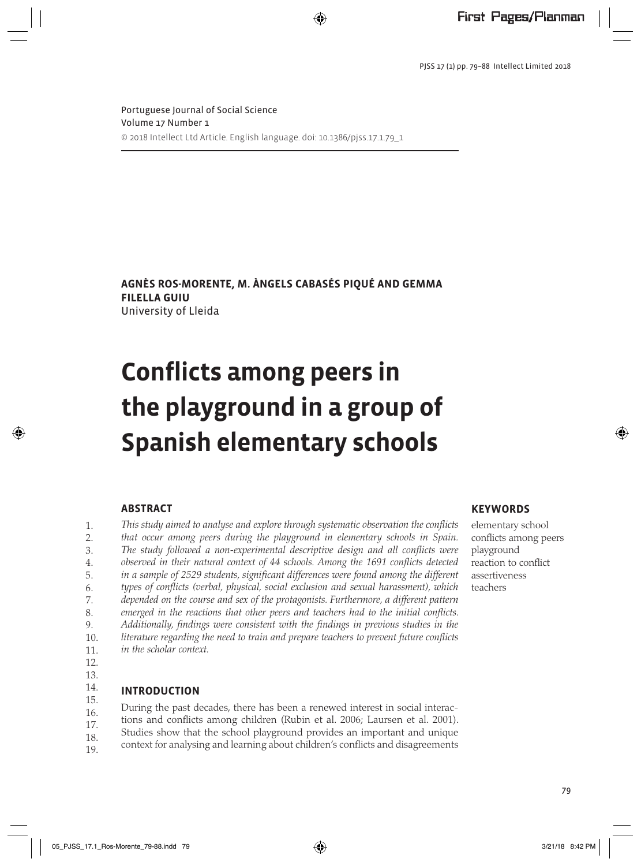PJSS 17 (1) pp. 79–88 Intellect Limited 2018

Portuguese Journal of Social Science Volume 17 Number 1 © 2018 Intellect Ltd Article. English language. doi: 10.1386/pjss.17.1.79\_1

⊕

**Agnès Ros-Morente, M. Àngels Cabasés Piqué and Gemma Filella Guiu** University of Lleida

# **Conflicts among peers in the playground in a group of Spanish elementary schools**

### **Abstract**

*This study aimed to analyse and explore through systematic observation the conflicts that occur among peers during the playground in elementary schools in Spain. The study followed a non-experimental descriptive design and all conflicts were observed in their natural context of 44 schools. Among the 1691 conflicts detected*  in a sample of 2529 students, significant differences were found among the different *types of conflicts (verbal, physical, social exclusion and sexual harassment), which depended on the course and sex of the protagonists. Furthermore, a different pattern emerged in the reactions that other peers and teachers had to the initial conflicts. Additionally, findings were consistent with the findings in previous studies in the literature regarding the need to train and prepare teachers to prevent future conflicts in the scholar context.* 1.  $2.5$ 3. 4. 5. 6. 7. 8. 9. 10. 11.

12.

# 13.

⊕

#### **Introduction** 14. 15.

During the past decades, there has been a renewed interest in social interactions and conflicts among children (Rubin et al. 2006; Laursen et al. 2001). Studies show that the school playground provides an important and unique 16. 17. 18.

context for analysing and learning about children's conflicts and disagreements 19.

## **Keywords**

elementary school conflicts among peers playground reaction to conflict assertiveness teachers

⊕